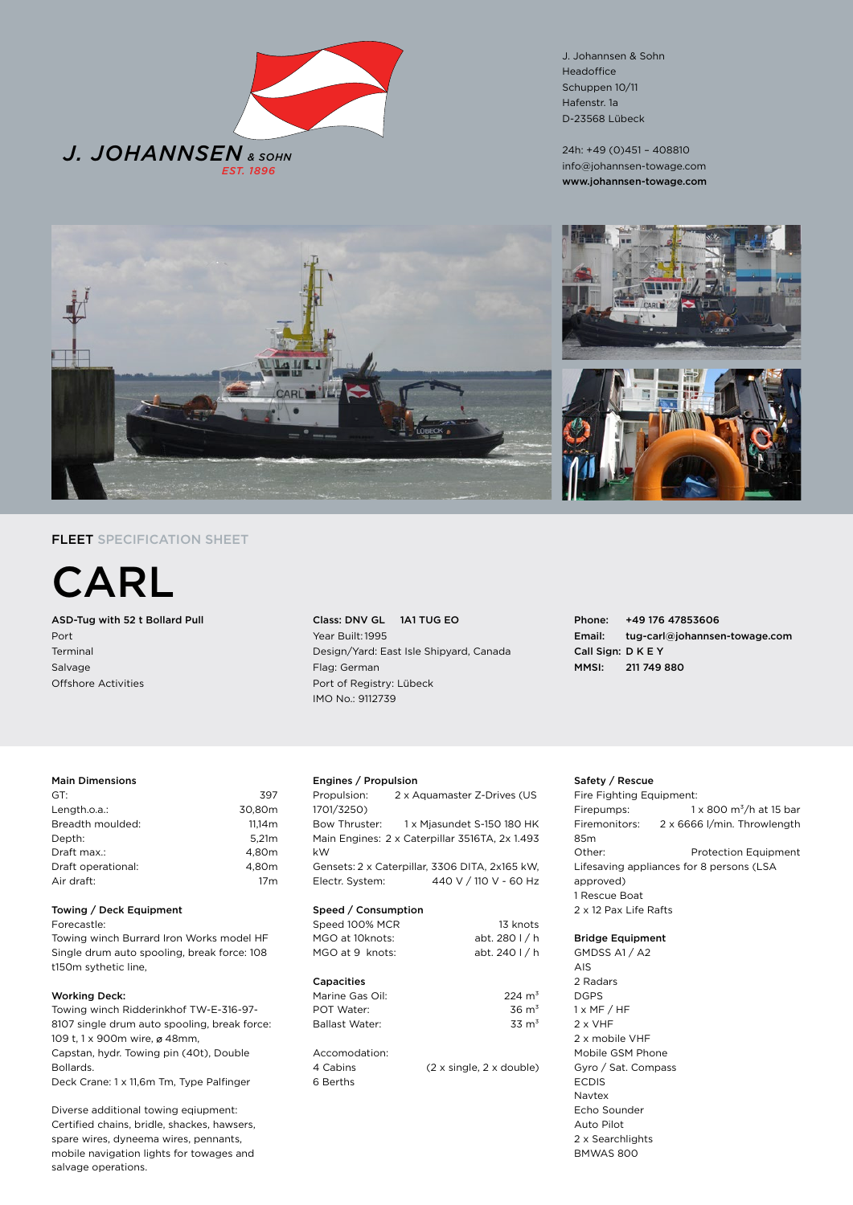

J. Johannsen & Sohn Headoffice Schuppen 10/11 Hafenstr. 1a D-23568 Lübeck

24h: +49 (0)451 – 408810 info@johannsen-towage.com www.johannsen-towage.com



# FLEET SPECIFICATION SHEET

CARL

ASD-Tug with 52 t Bollard Pull Port Terminal Salvage Offshore Activities

Class: DNV GL 1A1 TUG EO Year Built: 1995 Design/Yard: East Isle Shipyard, Canada Flag: German Port of Registry: Lübeck IMO No.: 9112739

Phone: +49 176 47853606 Email: tug-carl@johannsen-towage.com Call Sign: D K E Y MMSI: 211 749 880

# Main Dimensions

| GT:                | 397             |
|--------------------|-----------------|
| Length.o.a.:       | 30.80m          |
| Breadth moulded:   | 11.14m          |
| Depth:             | 5.21m           |
| Draft max.:        | 4.80m           |
| Draft operational: | 4.80m           |
| Air draft:         | 17 <sub>m</sub> |
|                    |                 |

### Towing / Deck Equipment

Forecastle:

Towing winch Burrard Iron Works model HF Single drum auto spooling, break force: 108 t150m sythetic line,

## Working Deck:

Towing winch Ridderinkhof TW-E-316-97- 8107 single drum auto spooling, break force: 109 t, 1 x 900m wire, ø 48mm, Capstan, hydr. Towing pin (40t), Double Bollards. Deck Crane: 1 x 11,6m Tm, Type Palfinger

Diverse additional towing eqiupment: Certified chains, bridle, shackes, hawsers, spare wires, dyneema wires, pennants, mobile navigation lights for towages and salvage operations.

# Engines / Propulsion

Propulsion: 2 x Aquamaster Z-Drives (US 1701/3250) Bow Thruster: 1 x Mjasundet S-150 180 HK Main Engines: 2 x Caterpillar 3516TA, 2x 1.493 kW Gensets: 2 x Caterpillar, 3306 DITA, 2x165 kW, Electr. System: 440 V / 110 V - 60 Hz

#### Speed / Consumption

| <b>ODCCA</b> / CONSUMPTION            |                                                    |
|---------------------------------------|----------------------------------------------------|
| Speed 100% MCR                        | 13 knots                                           |
| MGO at 10knots:                       | abt. 280 l / h                                     |
| MGO at 9 knots:                       | abt. 240 l / h                                     |
| Capacities                            |                                                    |
| Marine Gas Oil:                       | $224 \text{ m}^3$                                  |
| POT Water                             | $36 \text{ m}^3$                                   |
| Ballast Water                         | $33 \text{ m}^3$                                   |
| Accomodation:<br>4 Cabins<br>6 Berths | $(2 \times \text{single}, 2 \times \text{double})$ |

## Safety / Rescue

Fire Fighting Equipment: Firepumps:  $1 \times 800 \text{ m}^3/\text{h}$  at 15 bar Firemonitors: 2 x 6666 l/min. Throwlength 85m Other: Protection Equipment Lifesaving appliances for 8 persons (LSA approved) 1 Rescue Boat 2 x 12 Pax Life Rafts

#### Bridge Equipment

GMDSS A1 / A2 AIS 2 Radars DGPS  $1 \times MF / HF$ 2 x VHF 2 x mobile VHF Mobile GSM Phone Gyro / Sat. Compass ECDIS Navtex Echo Sounder Auto Pilot 2 x Searchlights BMWAS 800